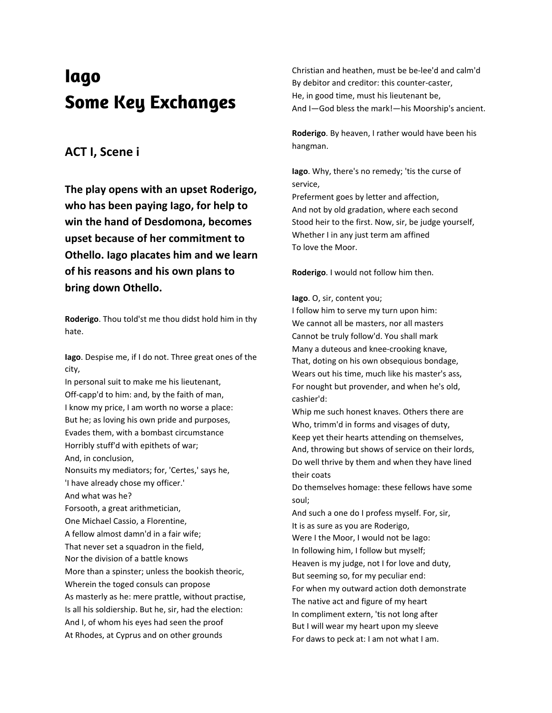# **Iago Some Key Exchanges**

#### **ACT I, Scene i**

**The play opens with an upset Roderigo, who has been paying Iago, for help to win the hand of Desdomona, becomes upset because of her commitment to Othello. Iago placates him and we learn of his reasons and his own plans to bring down Othello.**

**Roderigo**. Thou told'st me thou didst hold him in thy hate.

**Iago**. Despise me, if I do not. Three great ones of the city,

In personal suit to make me his lieutenant, Off-capp'd to him: and, by the faith of man, I know my price, I am worth no worse a place: But he; as loving his own pride and purposes, Evades them, with a bombast circumstance Horribly stuff'd with epithets of war; And, in conclusion, Nonsuits my mediators; for, 'Certes,' says he, 'I have already chose my officer.' And what was he? Forsooth, a great arithmetician, One Michael Cassio, a Florentine, A fellow almost damn'd in a fair wife; That never set a squadron in the field. Nor the division of a battle knows More than a spinster; unless the bookish theoric, Wherein the toged consuls can propose As masterly as he: mere prattle, without practise, Is all his soldiership. But he, sir, had the election: And I, of whom his eyes had seen the proof At Rhodes, at Cyprus and on other grounds

Christian and heathen, must be be-lee'd and calm'd By debitor and creditor: this counter-caster, He, in good time, must his lieutenant be, And I—God bless the mark!—his Moorship's ancient.

**Roderigo**. By heaven, I rather would have been his hangman.

**Iago**. Why, there's no remedy; 'tis the curse of service,

Preferment goes by letter and affection, And not by old gradation, where each second Stood heir to the first. Now, sir, be judge yourself, Whether I in any just term am affined To love the Moor.

**Roderigo**. I would not follow him then.

#### **Iago**. O, sir, content you;

I follow him to serve my turn upon him: We cannot all be masters, nor all masters Cannot be truly follow'd. You shall mark Many a duteous and knee-crooking knave, That, doting on his own obsequious bondage, Wears out his time, much like his master's ass, For nought but provender, and when he's old, cashier'd:

Whip me such honest knaves. Others there are Who, trimm'd in forms and visages of duty, Keep yet their hearts attending on themselves, And, throwing but shows of service on their lords, Do well thrive by them and when they have lined their coats

Do themselves homage: these fellows have some soul;

And such a one do I profess myself. For, sir, It is as sure as you are Roderigo, Were I the Moor, I would not be Iago: In following him, I follow but myself; Heaven is my judge, not I for love and duty, But seeming so, for my peculiar end: For when my outward action doth demonstrate The native act and figure of my heart In compliment extern, 'tis not long after But I will wear my heart upon my sleeve For daws to peck at: I am not what I am.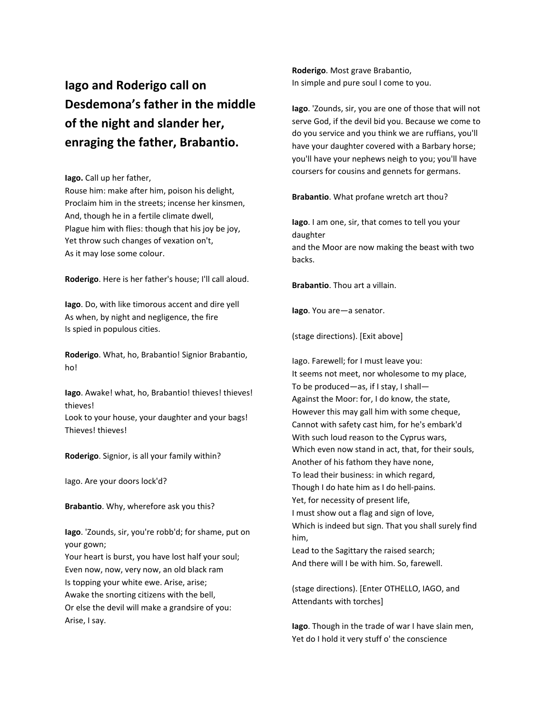**Iago and Roderigo call on Desdemona's father in the middle of the night and slander her, enraging the father, Brabantio.**

**Iago.** Call up her father,

Rouse him: make after him, poison his delight, Proclaim him in the streets; incense her kinsmen, And, though he in a fertile climate dwell, Plague him with flies: though that his joy be joy, Yet throw such changes of vexation on't, As it may lose some colour.

**Roderigo**. Here is her father's house; I'll call aloud.

**Iago**. Do, with like timorous accent and dire yell As when, by night and negligence, the fire Is spied in populous cities.

**Roderigo**. What, ho, Brabantio! Signior Brabantio, ho!

**Iago**. Awake! what, ho, Brabantio! thieves! thieves! thieves!

Look to your house, your daughter and your bags! Thieves! thieves!

**Roderigo**. Signior, is all your family within?

Iago. Are your doors lock'd?

**Brabantio**. Why, wherefore ask you this?

**Iago**. 'Zounds, sir, you're robb'd; for shame, put on your gown;

Your heart is burst, you have lost half your soul; Even now, now, very now, an old black ram Is topping your white ewe. Arise, arise; Awake the snorting citizens with the bell, Or else the devil will make a grandsire of you: Arise, I say.

**Roderigo**. Most grave Brabantio, In simple and pure soul I come to you.

**Iago**. 'Zounds, sir, you are one of those that will not serve God, if the devil bid you. Because we come to do you service and you think we are ruffians, you'll have your daughter covered with a Barbary horse; you'll have your nephews neigh to you; you'll have coursers for cousins and gennets for germans.

**Brabantio**. What profane wretch art thou?

**Iago**. I am one, sir, that comes to tell you your daughter and the Moor are now making the beast with two backs.

**Brabantio**. Thou art a villain.

**Iago**. You are—a senator.

(stage directions). [Exit above]

Iago. Farewell; for I must leave you: It seems not meet, nor wholesome to my place, To be produced—as, if I stay, I shall— Against the Moor: for, I do know, the state, However this may gall him with some cheque, Cannot with safety cast him, for he's embark'd With such loud reason to the Cyprus wars, Which even now stand in act, that, for their souls, Another of his fathom they have none, To lead their business: in which regard, Though I do hate him as I do hell-pains. Yet, for necessity of present life, I must show out a flag and sign of love, Which is indeed but sign. That you shall surely find him, Lead to the Sagittary the raised search;

And there will I be with him. So, farewell.

(stage directions). [Enter OTHELLO, IAGO, and Attendants with torches]

**Iago**. Though in the trade of war I have slain men, Yet do I hold it very stuff o' the conscience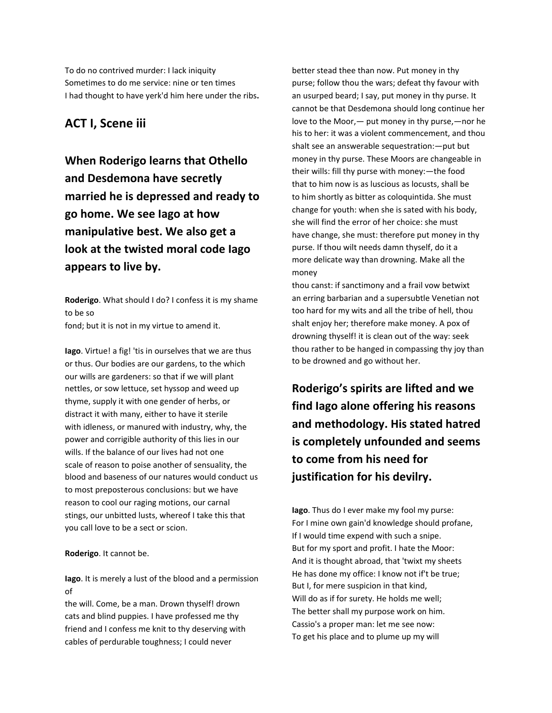To do no contrived murder: I lack iniquity Sometimes to do me service: nine or ten times I had thought to have yerk'd him here under the ribs**.**

#### **ACT I, Scene iii**

**When Roderigo learns that Othello and Desdemona have secretly married he is depressed and ready to go home. We see Iago at how manipulative best. We also get a look at the twisted moral code Iago appears to live by.**

**Roderigo**. What should I do? I confess it is my shame to be so fond; but it is not in my virtue to amend it.

**Iago**. Virtue! a fig! 'tis in ourselves that we are thus or thus. Our bodies are our gardens, to the which our wills are gardeners: so that if we will plant nettles, or sow lettuce, set hyssop and weed up thyme, supply it with one gender of herbs, or distract it with many, either to have it sterile with idleness, or manured with industry, why, the power and corrigible authority of this lies in our wills. If the balance of our lives had not one scale of reason to poise another of sensuality, the blood and baseness of our natures would conduct us to most preposterous conclusions: but we have reason to cool our raging motions, our carnal stings, our unbitted lusts, whereof I take this that you call love to be a sect or scion.

#### **Roderigo**. It cannot be.

**Iago**. It is merely a lust of the blood and a permission of

the will. Come, be a man. Drown thyself! drown cats and blind puppies. I have professed me thy friend and I confess me knit to thy deserving with cables of perdurable toughness; I could never

better stead thee than now. Put money in thy purse; follow thou the wars; defeat thy favour with an usurped beard; I say, put money in thy purse. It cannot be that Desdemona should long continue her love to the Moor,— put money in thy purse,—nor he his to her: it was a violent commencement, and thou shalt see an answerable sequestration:—put but money in thy purse. These Moors are changeable in their wills: fill thy purse with money:—the food that to him now is as luscious as locusts, shall be to him shortly as bitter as coloquintida. She must change for youth: when she is sated with his body, she will find the error of her choice: she must have change, she must: therefore put money in thy purse. If thou wilt needs damn thyself, do it a more delicate way than drowning. Make all the money

thou canst: if sanctimony and a frail vow betwixt an erring barbarian and a supersubtle Venetian not too hard for my wits and all the tribe of hell, thou shalt enjoy her; therefore make money. A pox of drowning thyself! it is clean out of the way: seek thou rather to be hanged in compassing thy joy than to be drowned and go without her.

**Roderigo's spirits are lifted and we find Iago alone offering his reasons and methodology. His stated hatred is completely unfounded and seems to come from his need for justification for his devilry.**

**Iago**. Thus do I ever make my fool my purse: For I mine own gain'd knowledge should profane, If I would time expend with such a snipe. But for my sport and profit. I hate the Moor: And it is thought abroad, that 'twixt my sheets He has done my office: I know not if't be true; But I, for mere suspicion in that kind, Will do as if for surety. He holds me well; The better shall my purpose work on him. Cassio's a proper man: let me see now: To get his place and to plume up my will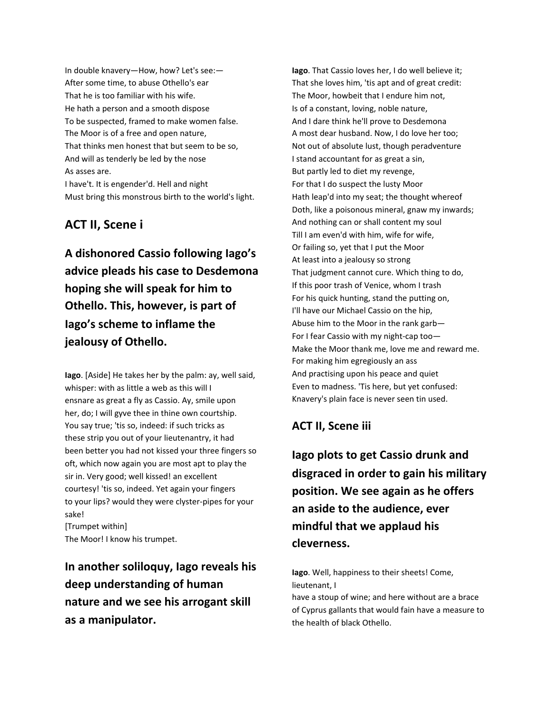In double knavery—How, how? Let's see:— After some time, to abuse Othello's ear That he is too familiar with his wife. He hath a person and a smooth dispose To be suspected, framed to make women false. The Moor is of a free and open nature, That thinks men honest that but seem to be so, And will as tenderly be led by the nose As asses are. I have't. It is engender'd. Hell and night Must bring this monstrous birth to the world's light.

#### **ACT II, Scene i**

**A dishonored Cassio following Iago's advice pleads his case to Desdemona hoping she will speak for him to Othello. This, however, is part of Iago's scheme to inflame the jealousy of Othello.**

**Iago**. [Aside] He takes her by the palm: ay, well said, whisper: with as little a web as this will I ensnare as great a fly as Cassio. Ay, smile upon her, do; I will gyve thee in thine own courtship. You say true; 'tis so, indeed: if such tricks as these strip you out of your lieutenantry, it had been better you had not kissed your three fingers so oft, which now again you are most apt to play the sir in. Very good; well kissed! an excellent courtesy! 'tis so, indeed. Yet again your fingers to your lips? would they were clyster-pipes for your sake!

[Trumpet within] The Moor! I know his trumpet.

**In another soliloquy, Iago reveals his deep understanding of human nature and we see his arrogant skill as a manipulator.**

**Iago**. That Cassio loves her, I do well believe it; That she loves him, 'tis apt and of great credit: The Moor, howbeit that I endure him not, Is of a constant, loving, noble nature, And I dare think he'll prove to Desdemona A most dear husband. Now, I do love her too; Not out of absolute lust, though peradventure I stand accountant for as great a sin, But partly led to diet my revenge, For that I do suspect the lusty Moor Hath leap'd into my seat; the thought whereof Doth, like a poisonous mineral, gnaw my inwards; And nothing can or shall content my soul Till I am even'd with him, wife for wife, Or failing so, yet that I put the Moor At least into a jealousy so strong That judgment cannot cure. Which thing to do, If this poor trash of Venice, whom I trash For his quick hunting, stand the putting on, I'll have our Michael Cassio on the hip, Abuse him to the Moor in the rank garb— For I fear Cassio with my night-cap too— Make the Moor thank me, love me and reward me. For making him egregiously an ass And practising upon his peace and quiet Even to madness. 'Tis here, but yet confused: Knavery's plain face is never seen tin used.

#### **ACT II, Scene iii**

**Iago plots to get Cassio drunk and disgraced in order to gain his military position. We see again as he offers an aside to the audience, ever mindful that we applaud his cleverness.**

**Iago**. Well, happiness to their sheets! Come, lieutenant, I

have a stoup of wine; and here without are a brace of Cyprus gallants that would fain have a measure to the health of black Othello.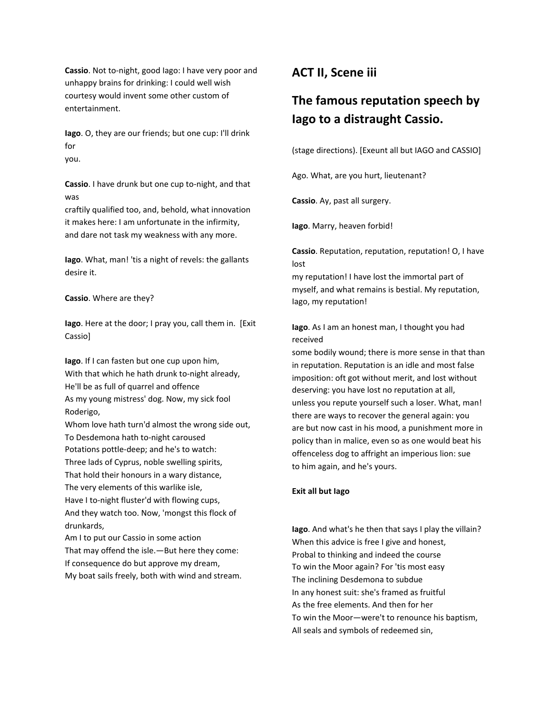**Cassio**. Not to-night, good Iago: I have very poor and unhappy brains for drinking: I could well wish courtesy would invent some other custom of entertainment.

**Iago**. O, they are our friends; but one cup: I'll drink for you.

**Cassio**. I have drunk but one cup to-night, and that was

craftily qualified too, and, behold, what innovation it makes here: I am unfortunate in the infirmity, and dare not task my weakness with any more.

**Iago**. What, man! 'tis a night of revels: the gallants desire it.

**Cassio**. Where are they?

**Iago**. Here at the door; I pray you, call them in. [Exit Cassio]

**Iago**. If I can fasten but one cup upon him, With that which he hath drunk to-night already, He'll be as full of quarrel and offence As my young mistress' dog. Now, my sick fool Roderigo,

Whom love hath turn'd almost the wrong side out, To Desdemona hath to-night caroused Potations pottle-deep; and he's to watch: Three lads of Cyprus, noble swelling spirits, That hold their honours in a wary distance, The very elements of this warlike isle, Have I to-night fluster'd with flowing cups, And they watch too. Now, 'mongst this flock of drunkards,

Am I to put our Cassio in some action That may offend the isle.—But here they come: If consequence do but approve my dream, My boat sails freely, both with wind and stream.

### **ACT II, Scene iii**

## **The famous reputation speech by Iago to a distraught Cassio.**

(stage directions). [Exeunt all but IAGO and CASSIO]

Ago. What, are you hurt, lieutenant?

**Cassio**. Ay, past all surgery.

**Iago**. Marry, heaven forbid!

**Cassio**. Reputation, reputation, reputation! O, I have lost

my reputation! I have lost the immortal part of myself, and what remains is bestial. My reputation, Iago, my reputation!

**Iago**. As I am an honest man, I thought you had received

some bodily wound; there is more sense in that than in reputation. Reputation is an idle and most false imposition: oft got without merit, and lost without deserving: you have lost no reputation at all, unless you repute yourself such a loser. What, man! there are ways to recover the general again: you are but now cast in his mood, a punishment more in policy than in malice, even so as one would beat his offenceless dog to affright an imperious lion: sue to him again, and he's yours.

#### **Exit all but Iago**

**Iago**. And what's he then that says I play the villain? When this advice is free I give and honest, Probal to thinking and indeed the course To win the Moor again? For 'tis most easy The inclining Desdemona to subdue In any honest suit: she's framed as fruitful As the free elements. And then for her To win the Moor—were't to renounce his baptism, All seals and symbols of redeemed sin,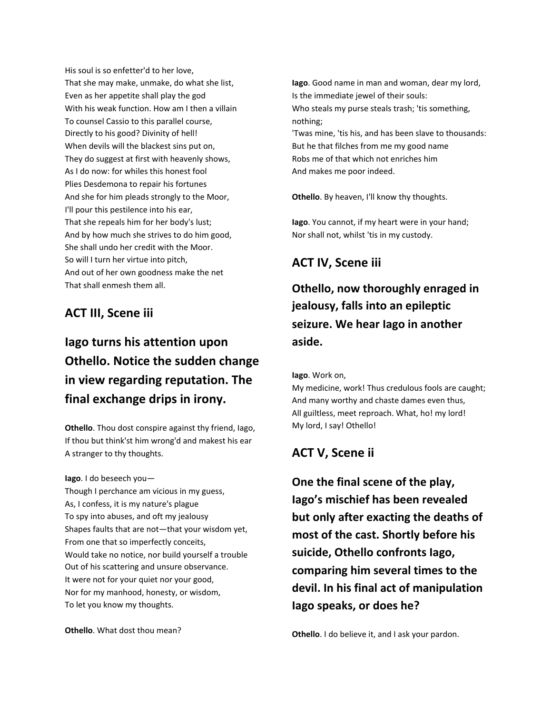His soul is so enfetter'd to her love, That she may make, unmake, do what she list, Even as her appetite shall play the god With his weak function. How am I then a villain To counsel Cassio to this parallel course, Directly to his good? Divinity of hell! When devils will the blackest sins put on, They do suggest at first with heavenly shows, As I do now: for whiles this honest fool Plies Desdemona to repair his fortunes And she for him pleads strongly to the Moor, I'll pour this pestilence into his ear, That she repeals him for her body's lust; And by how much she strives to do him good, She shall undo her credit with the Moor. So will I turn her virtue into pitch, And out of her own goodness make the net That shall enmesh them all.

### **ACT III, Scene iii**

# **Iago turns his attention upon Othello. Notice the sudden change in view regarding reputation. The final exchange drips in irony.**

**Othello**. Thou dost conspire against thy friend, Iago, If thou but think'st him wrong'd and makest his ear A stranger to thy thoughts.

**Iago**. I do beseech you— Though I perchance am vicious in my guess, As, I confess, it is my nature's plague To spy into abuses, and oft my jealousy Shapes faults that are not—that your wisdom yet, From one that so imperfectly conceits, Would take no notice, nor build yourself a trouble Out of his scattering and unsure observance. It were not for your quiet nor your good, Nor for my manhood, honesty, or wisdom, To let you know my thoughts.

**Othello**. What dost thou mean?

**Iago**. Good name in man and woman, dear my lord, Is the immediate jewel of their souls: Who steals my purse steals trash; 'tis something, nothing; 'Twas mine, 'tis his, and has been slave to thousands: But he that filches from me my good name Robs me of that which not enriches him

**Othello**. By heaven, I'll know thy thoughts.

**Iago**. You cannot, if my heart were in your hand; Nor shall not, whilst 'tis in my custody.

#### **ACT IV, Scene iii**

And makes me poor indeed.

**Othello, now thoroughly enraged in jealousy, falls into an epileptic seizure. We hear Iago in another aside.**

**Iago**. Work on,

My medicine, work! Thus credulous fools are caught; And many worthy and chaste dames even thus, All guiltless, meet reproach. What, ho! my lord! My lord, I say! Othello!

### **ACT V, Scene ii**

**One the final scene of the play, Iago's mischief has been revealed but only after exacting the deaths of most of the cast. Shortly before his suicide, Othello confronts Iago, comparing him several times to the devil. In his final act of manipulation Iago speaks, or does he?**

**Othello**. I do believe it, and I ask your pardon.